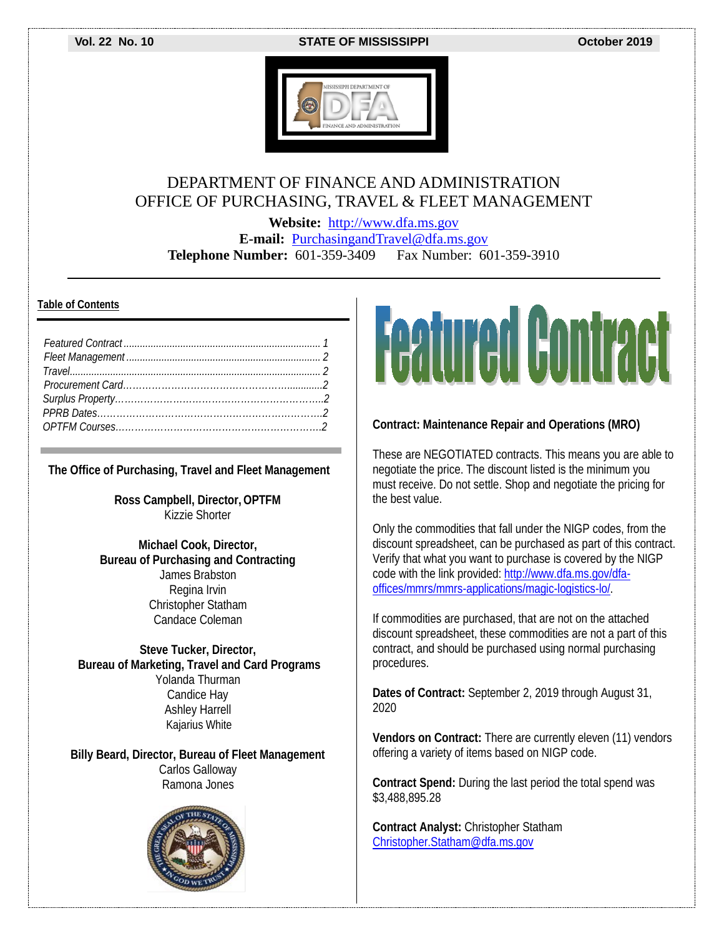**Vol. 22 No. 10 STATE OF MISSISSIPPI October 2019**



### DEPARTMENT OF FINANCE AND ADMINISTRATION OFFICE OF PURCHASING, TRAVEL & FLEET MANAGEMENT

**Website:** [http://www.dfa.ms.gov](http://www.dfa.ms.gov/) **E-mail:** [PurchasingandTravel@dfa.ms.gov](mailto:PurchasingandTravel@dfa.ms.gov) **Telephone Number:** 601-359-3409 Fax Number: 601-359-3910

#### **Table of Contents**

**The Office of Purchasing, Travel and Fleet Management**

**Ross Campbell, Director, OPTFM** Kizzie Shorter

**Michael Cook, Director, Bureau of Purchasing and Contracting** James Brabston Regina Irvin Christopher Statham Candace Coleman

**Steve Tucker, Director, Bureau of Marketing, Travel and Card Programs** Yolanda Thurman Candice Hay Ashley Harrell Kajarius White

**Billy Beard, Director, Bureau of Fleet Management** Carlos Galloway Ramona Jones





#### **Contract: Maintenance Repair and Operations (MRO)**

These are NEGOTIATED contracts. This means you are able to negotiate the price. The discount listed is the minimum you must receive. Do not settle. Shop and negotiate the pricing for the best value.

Only the commodities that fall under the NIGP codes, from the discount spreadsheet, can be purchased as part of this contract. Verify that what you want to purchase is covered by the NIGP code with the link provided[: http://www.dfa.ms.gov/dfa](http://www.dfa.ms.gov/dfa-offices/mmrs/mmrs-applications/magic-logistics-lo/)[offices/mmrs/mmrs-applications/magic-logistics-lo/.](http://www.dfa.ms.gov/dfa-offices/mmrs/mmrs-applications/magic-logistics-lo/)

If commodities are purchased, that are not on the attached discount spreadsheet, these commodities are not a part of this contract, and should be purchased using normal purchasing procedures.

**Dates of Contract:** September 2, 2019 through August 31, 2020

**Vendors on Contract:** There are currently eleven (11) vendors offering a variety of items based on NIGP code.

**Contract Spend:** During the last period the total spend was \$3,488,895.28

**Contract Analyst:** Christopher Statham [Christopher.Statham@dfa.ms.gov](mailto:Christopher.Statham@dfa.ms.gov)